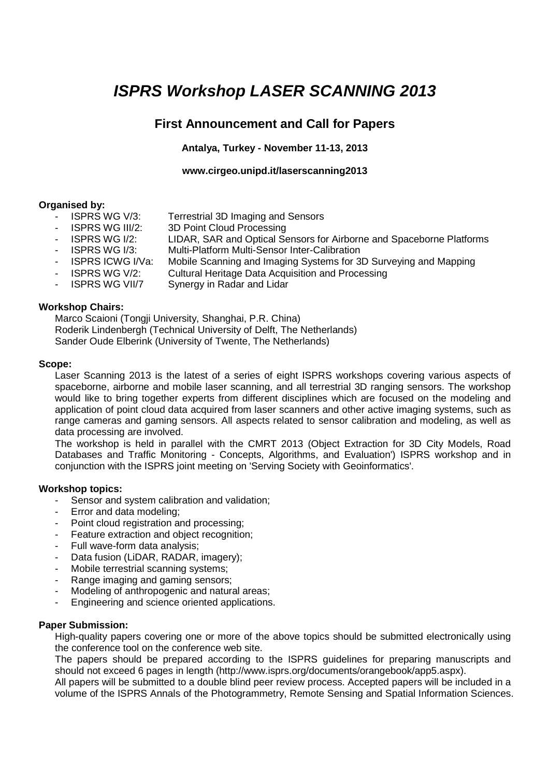# **ISPRS Workshop LASER SCANNING 2013**

# **First Announcement and Call for Papers**

# **Antalya, Turkey - November 11-13, 2013**

# **www.cirgeo.unipd.it/laserscanning2013**

# **Organised by:**

- ISPRS WG V/3: Terrestrial 3D Imaging and Sensors
- ISPRS WG III/2: 3D Point Cloud Processing
- ISPRS WG I/2: LIDAR, SAR and Optical Sensors for Airborne and Spaceborne Platforms
- ISPRS WG I/3: Multi-Platform Multi-Sensor Inter-Calibration
- ISPRS ICWG I/Va: Mobile Scanning and Imaging Systems for 3D Surveying and Mapping
	- ISPRS WG V/2: Cultural Heritage Data Acquisition and Processing
- ISPRS WG VII/7 Synergy in Radar and Lidar

# **Workshop Chairs:**

Marco Scaioni (Tongji University, Shanghai, P.R. China) Roderik Lindenbergh (Technical University of Delft, The Netherlands) Sander Oude Elberink (University of Twente, The Netherlands)

### **Scope:**

Laser Scanning 2013 is the latest of a series of eight ISPRS workshops covering various aspects of spaceborne, airborne and mobile laser scanning, and all terrestrial 3D ranging sensors. The workshop would like to bring together experts from different disciplines which are focused on the modeling and application of point cloud data acquired from laser scanners and other active imaging systems, such as range cameras and gaming sensors. All aspects related to sensor calibration and modeling, as well as data processing are involved.

The workshop is held in parallel with the CMRT 2013 (Object Extraction for 3D City Models, Road Databases and Traffic Monitoring - Concepts, Algorithms, and Evaluation') ISPRS workshop and in conjunction with the ISPRS joint meeting on 'Serving Society with Geoinformatics'.

# **Workshop topics:**

- Sensor and system calibration and validation;
- Error and data modeling:
- Point cloud registration and processing:
- Feature extraction and object recognition:
- Full wave-form data analysis;
- Data fusion (LiDAR, RADAR, imagery);
- Mobile terrestrial scanning systems;
- Range imaging and gaming sensors;
- Modeling of anthropogenic and natural areas;
- Engineering and science oriented applications.

### **Paper Submission:**

High-quality papers covering one or more of the above topics should be submitted electronically using the conference tool on the conference web site.

The papers should be prepared according to the ISPRS guidelines for preparing manuscripts and should not exceed 6 pages in length (http://www.isprs.org/documents/orangebook/app5.aspx).

All papers will be submitted to a double blind peer review process. Accepted papers will be included in a volume of the ISPRS Annals of the Photogrammetry, Remote Sensing and Spatial Information Sciences.